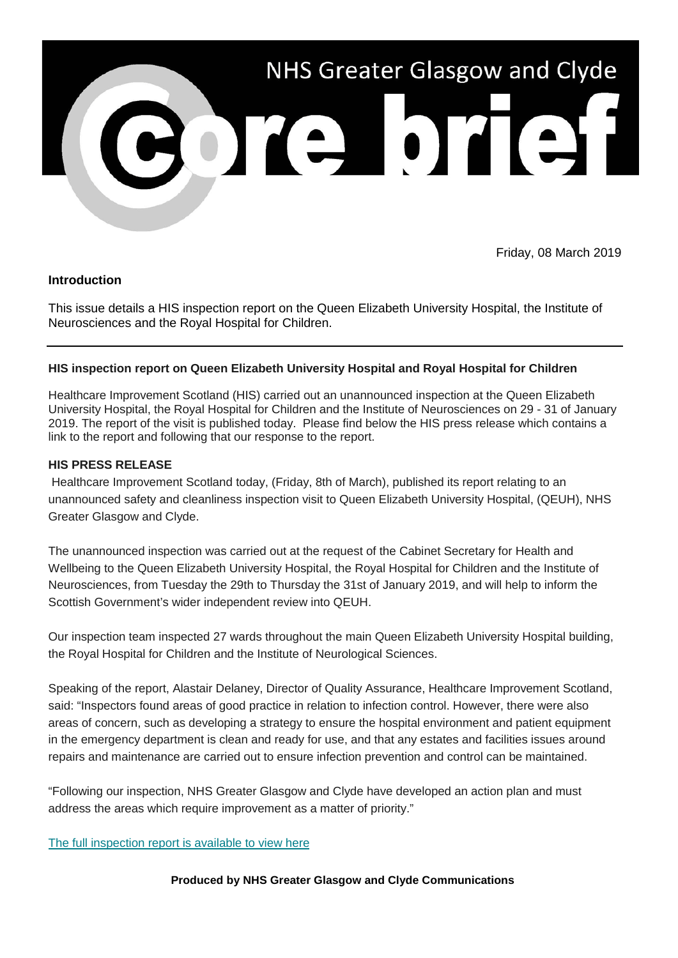

Friday, 08 March 2019

# **Introduction**

This issue details a HIS inspection report on the Queen Elizabeth University Hospital, the Institute of Neurosciences and the Royal Hospital for Children.

# **HIS inspection report on Queen Elizabeth University Hospital and Royal Hospital for Children**

Healthcare Improvement Scotland (HIS) carried out an unannounced inspection at the Queen Elizabeth University Hospital, the Royal Hospital for Children and the Institute of Neurosciences on 29 - 31 of January 2019. The report of the visit is published today. Please find below the HIS press release which contains a link to the report and following that our response to the report.

### **HIS PRESS RELEASE**

Healthcare Improvement Scotland today, (Friday, 8th of March), published its report relating to an unannounced safety and cleanliness inspection visit to Queen Elizabeth University Hospital, (QEUH), NHS Greater Glasgow and Clyde.

The unannounced inspection was carried out at the request of the Cabinet Secretary for Health and Wellbeing to the Queen Elizabeth University Hospital, the Royal Hospital for Children and the Institute of Neurosciences, from Tuesday the 29th to Thursday the 31st of January 2019, and will help to inform the Scottish Government's wider independent review into QEUH.

Our inspection team inspected 27 wards throughout the main Queen Elizabeth University Hospital building, the Royal Hospital for Children and the Institute of Neurological Sciences.

Speaking of the report, Alastair Delaney, Director of Quality Assurance, Healthcare Improvement Scotland, said: "Inspectors found areas of good practice in relation to infection control. However, there were also areas of concern, such as developing a strategy to ensure the hospital environment and patient equipment in the emergency department is clean and ready for use, and that any estates and facilities issues around repairs and maintenance are carried out to ensure infection prevention and control can be maintained.

"Following our inspection, NHS Greater Glasgow and Clyde have developed an action plan and must address the areas which require improvement as a matter of priority."

#### [The full inspection report is available to view here](https://nhsggc.us12.list-manage.com/track/click?u=0f385b5aea37eaf0213bd19fb&id=b6fa04d485&e=5af5e1832c)

#### **Produced by NHS Greater Glasgow and Clyde Communications**